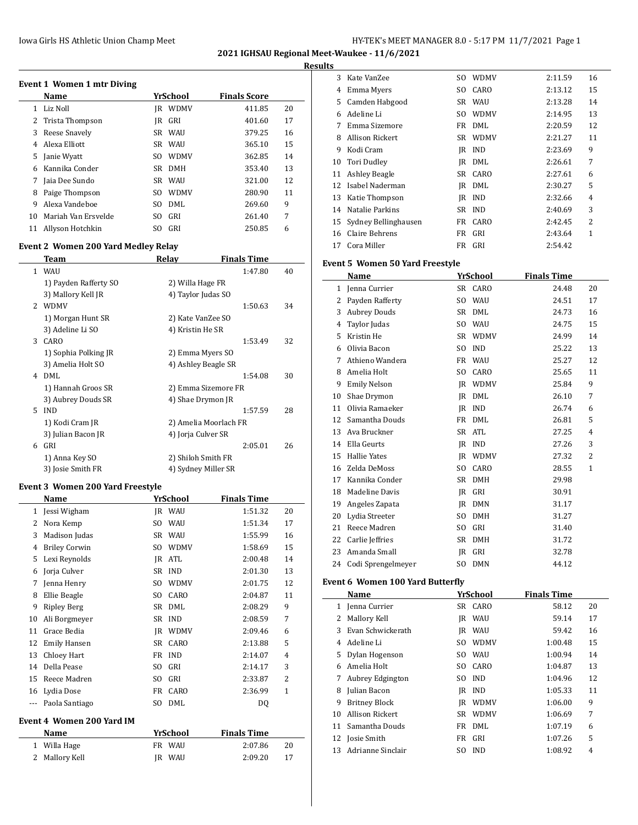| HY-TEK's MEET MANAGER 8.0 - 5:17 PM 11/7/2021 Page 1 |  |  |  |
|------------------------------------------------------|--|--|--|
|------------------------------------------------------|--|--|--|

**2021 IGHSAU Regional Meet-Waukee - 11/6/2021**

### **Results**

| Event 1 Women 1 mtr Diving |                     |     |             |                     |    |  |  |  |
|----------------------------|---------------------|-----|-------------|---------------------|----|--|--|--|
|                            | Name                |     | YrSchool    | <b>Finals Score</b> |    |  |  |  |
| 1                          | Liz Noll            | IR  | <b>WDMV</b> | 411.85              | 20 |  |  |  |
| 2                          | Trista Thompson     | IR  | GRI         | 401.60              | 17 |  |  |  |
| 3                          | Reese Snavely       |     | SR WAU      | 379.25              | 16 |  |  |  |
| 4                          | Alexa Elliott       | SR  | WAU         | 365.10              | 15 |  |  |  |
| 5                          | Janie Wyatt         | SO. | <b>WDMV</b> | 362.85              | 14 |  |  |  |
| 6                          | Kannika Conder      | SR. | <b>DMH</b>  | 353.40              | 13 |  |  |  |
| 7                          | Jaia Dee Sundo      | SR  | WAU         | 321.00              | 12 |  |  |  |
| 8                          | Paige Thompson      | SO. | <b>WDMV</b> | 280.90              | 11 |  |  |  |
| 9                          | Alexa Vandeboe      | SO. | DML         | 269.60              | 9  |  |  |  |
| 10                         | Mariah Van Ersvelde | SO  | GRI         | 261.40              | 7  |  |  |  |
| 11                         | Allyson Hotchkin    | SΟ  | GRI         | 250.85              | 6  |  |  |  |

## **Event 2 Women 200 Yard Medley Relay**

|               | <b>Team</b>           | Relay                 | <b>Finals Time</b> |    |
|---------------|-----------------------|-----------------------|--------------------|----|
|               | 1 WAU                 |                       | 1:47.80            | 40 |
|               | 1) Payden Rafferty SO | 2) Willa Hage FR      |                    |    |
|               | 3) Mallory Kell JR    | 4) Taylor Judas SO    |                    |    |
| $\mathcal{P}$ | <b>WDMV</b>           |                       | 1:50.63            | 34 |
|               | 1) Morgan Hunt SR     | 2) Kate VanZee SO     |                    |    |
|               | 3) Adeline Li SO      | 4) Kristin He SR      |                    |    |
| 3             | CARO                  |                       | 1:53.49            | 32 |
|               | 1) Sophia Polking JR  | 2) Emma Myers SO      |                    |    |
|               | 3) Amelia Holt SO     | 4) Ashley Beagle SR   |                    |    |
| 4             | DMI.                  |                       | 1:54.08            | 30 |
|               | 1) Hannah Groos SR    | 2) Emma Sizemore FR   |                    |    |
|               | 3) Aubrey Douds SR    | 4) Shae Drymon JR     |                    |    |
| 5.            | <b>IND</b>            |                       | 1:57.59            | 28 |
|               | 1) Kodi Cram JR       | 2) Amelia Moorlach FR |                    |    |
|               | 3) Julian Bacon JR    | 4) Jorja Culver SR    |                    |    |
| 6             | GRI                   |                       | 2:05.01            | 26 |
|               | 1) Anna Key SO        | 2) Shiloh Smith FR    |                    |    |
|               | 3) Josie Smith FR     | 4) Sydney Miller SR   |                    |    |

## **Event 3 Women 200 Yard Freestyle**

| Name                             | YrSchool                | <b>Finals Time</b> |                |
|----------------------------------|-------------------------|--------------------|----------------|
| Jessi Wigham                     | IR WAU                  | 1:51.32            | 20             |
| Nora Kemp                        | <b>WAU</b><br>SO.       | 1:51.34            | 17             |
| Madison Judas                    | <b>SR</b><br><b>WAU</b> | 1:55.99            | 16             |
| <b>Briley Corwin</b>             | <b>WDMV</b><br>SO.      | 1:58.69            | 15             |
| Lexi Reynolds                    | ATL<br>IR               | 2:00.48            | 14             |
| Jorja Culver                     | <b>IND</b><br>SR        | 2:01.30            | 13             |
| Jenna Henry                      | <b>WDMV</b><br>SO.      | 2:01.75            | 12             |
| Ellie Beagle                     | CARO<br>SO.             | 2:04.87            | 11             |
| <b>Ripley Berg</b>               | DMI.<br><b>SR</b>       | 2:08.29            | 9              |
| Ali Borgmeyer                    | <b>IND</b><br>SR        | 2:08.59            | 7              |
| Grace Bedia                      | <b>WDMV</b><br>IR       | 2:09.46            | 6              |
| <b>Emily Hansen</b>              | <b>CARO</b><br>SR       | 2:13.88            | 5              |
| Chloey Hart                      | <b>IND</b><br>FR        | 2:14.07            | $\overline{4}$ |
| Della Pease                      | GRI<br>SO.              | 2:14.17            | 3              |
| Reece Madren                     | GRI<br>S <sub>0</sub>   | 2:33.87            | $\overline{c}$ |
| Lydia Dose                       | FR<br>CARO              | 2:36.99            | $\mathbf{1}$   |
| Paola Santiago                   | DML<br>SO.              | DQ                 |                |
| <b>Event 4 Women 200 Yard IM</b> |                         |                    |                |
| Name                             | <b>YrSchool</b>         | <b>Finals Time</b> |                |
| Willa Hage                       | FR<br>WAU               | 2:07.86            | 20             |
|                                  |                         |                    |                |

Mallory Kell JR WAU 2:09.20 17

| 3  | Kate VanZee          | SO. | <b>WDMV</b> | 2:11.59 | 16 |
|----|----------------------|-----|-------------|---------|----|
| 4  | Emma Myers           | SO. | CARO        | 2:13.12 | 15 |
| 5. | Camden Habgood       |     | SR WAU      | 2:13.28 | 14 |
| 6  | Adeline Li           | SO. | <b>WDMV</b> | 2:14.95 | 13 |
| 7  | Emma Sizemore        | FR  | DML         | 2:20.59 | 12 |
| 8  | Allison Rickert      | SR  | <b>WDMV</b> | 2:21.27 | 11 |
| 9  | Kodi Cram            | IR  | <b>IND</b>  | 2:23.69 | 9  |
| 10 | Tori Dudley          | IR  | DML         | 2:26.61 | 7  |
| 11 | <b>Ashley Beagle</b> |     | SR CARO     | 2:27.61 | 6  |
| 12 | Isabel Naderman      | IR  | DML         | 2:30.27 | 5  |
| 13 | Katie Thompson       | IR  | <b>IND</b>  | 2:32.66 | 4  |
| 14 | Natalie Parkins      | SR  | IND         | 2:40.69 | 3  |
| 15 | Sydney Bellinghausen | FR  | CARO        | 2:42.45 | 2  |
| 16 | Claire Behrens       | FR  | GRI         | 2:43.64 | 1  |
| 17 | Cora Miller          |     | FR GRI      | 2:54.42 |    |
|    |                      |     |             |         |    |

## **Event 5 Women 50 Yard Freestyle**

|    | <b>Name</b>                             |                | <b>YrSchool</b> | <b>Finals Time</b> |                |
|----|-----------------------------------------|----------------|-----------------|--------------------|----------------|
| 1  | Jenna Currier                           | SR -           | CARO            | 24.48              | 20             |
| 2  | Payden Rafferty                         | S <sub>0</sub> | WAU             | 24.51              | 17             |
| 3  | <b>Aubrey Douds</b>                     | <b>SR</b>      | <b>DML</b>      | 24.73              | 16             |
| 4  | Taylor Judas                            | S <sub>O</sub> | <b>WAU</b>      | 24.75              | 15             |
| 5  | Kristin He                              |                | SR WDMV         | 24.99              | 14             |
| 6  | Olivia Bacon                            | SO.            | <b>IND</b>      | 25.22              | 13             |
| 7  | Athieno Wandera                         | FR             | WAU             | 25.27              | 12             |
| 8  | Amelia Holt                             | S <sub>O</sub> | CARO            | 25.65              | 11             |
| 9  | <b>Emily Nelson</b>                     | IR             | <b>WDMV</b>     | 25.84              | 9              |
| 10 | Shae Drymon                             | IR             | DML             | 26.10              | 7              |
| 11 | Olivia Ramaeker                         | IR             | <b>IND</b>      | 26.74              | 6              |
| 12 | Samantha Douds                          | FR             | <b>DML</b>      | 26.81              | 5              |
| 13 | Ava Bruckner                            | SR             | <b>ATL</b>      | 27.25              | $\overline{4}$ |
| 14 | Ella Geurts                             | IR             | <b>IND</b>      | 27.26              | 3              |
| 15 | <b>Hallie Yates</b>                     |                | <b>IR WDMV</b>  | 27.32              | $\overline{2}$ |
| 16 | Zelda DeMoss                            | SO.            | CARO            | 28.55              | 1              |
| 17 | Kannika Conder                          | SR -           | <b>DMH</b>      | 29.98              |                |
| 18 | Madeline Davis                          | IR             | GRI             | 30.91              |                |
| 19 | Angeles Zapata                          | IR             | <b>DMN</b>      | 31.17              |                |
| 20 | Lydia Streeter                          | S <sub>O</sub> | <b>DMH</b>      | 31.27              |                |
| 21 | Reece Madren                            | S <sub>O</sub> | GRI             | 31.40              |                |
| 22 | Carlie Jeffries                         | SR             | <b>DMH</b>      | 31.72              |                |
| 23 | Amanda Small                            | IR             | GRI             | 32.78              |                |
| 24 | Codi Sprengelmeyer                      | S <sub>O</sub> | <b>DMN</b>      | 44.12              |                |
|    | <b>Event 6 Women 100 Yard Butterfly</b> |                |                 |                    |                |
|    | Name                                    |                | <b>YrSchool</b> | <b>Finals Time</b> |                |
|    | 1 Jenna Currier                         |                | SR CARO         | 58.12              | 20             |
| 2  | Mallory Kell                            | IR             | WAU             | 59.14              | 17             |
| 3  | Evan Schwickerath                       | IR             | WAU             | 59.42              | 16             |
| 4  | Adeline Li                              | S <sub>O</sub> | <b>WDMV</b>     | 1:00.48            | 15             |
| 5  | Dylan Hogenson                          | SO.            | <b>WAU</b>      | 1:00.94            | 14             |
| 6  | Amelia Holt                             | S <sub>O</sub> | CARO            | 1:04.87            | 13             |
| 7  | Aubrey Edgington                        | S <sub>O</sub> | <b>IND</b>      | 1:04.96            | 12             |

|   | 7 Aubrey Edgington   | SO IND     | 1:04.96 | 12 |
|---|----------------------|------------|---------|----|
| 8 | Julian Bacon         | IR IND     | 1:05.33 | 11 |
| 9 | Britney Block        | IR WDMV    | 1:06.00 | 9  |
|   | 10 Allison Rickert   | SR WDMV    | 1:06.69 | 7  |
|   | 11 Samantha Douds    | FR DML     | 1:07.19 | 6  |
|   | 12 Josie Smith       | FR GRI     | 1:07.26 | 5  |
|   | 13 Adrianne Sinclair | <b>IND</b> | 1:08.92 | 4  |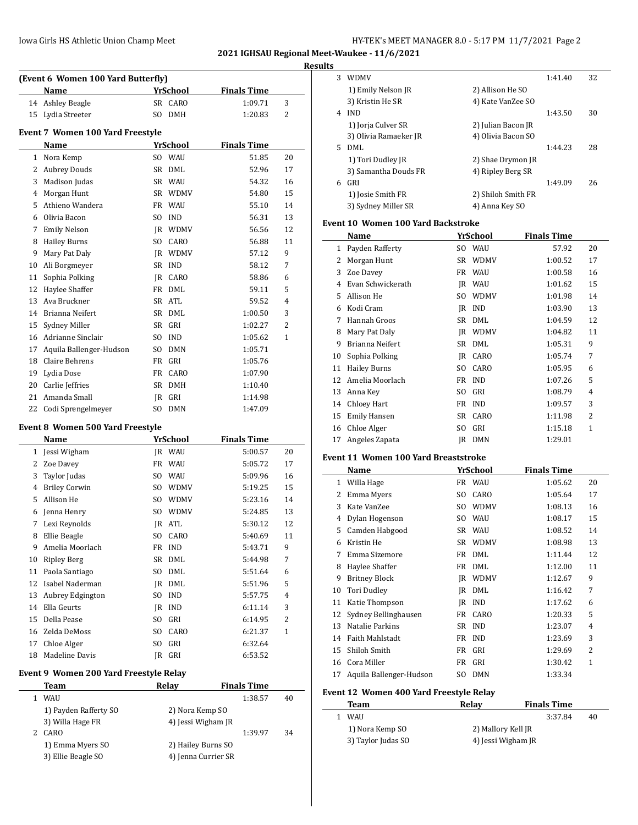| HY-TEK's MEET MANAGER 8.0 - 5:17 PM 11/7/2021 Page 2 |  |  |  |  |
|------------------------------------------------------|--|--|--|--|
|------------------------------------------------------|--|--|--|--|

**2021 IGHSAU Regional Meet-Waukee - 11/6/2021**

|    |                                            |        |                 |                    |    | <b>Results</b> |
|----|--------------------------------------------|--------|-----------------|--------------------|----|----------------|
|    | (Event 6 Women 100 Yard Butterfly)<br>Name |        | <b>YrSchool</b> | <b>Finals Time</b> |    |                |
|    | 14 Ashley Beagle                           |        | SR CARO         | 1:09.71            | 3  |                |
| 15 | Lydia Streeter                             |        | SO DMH          | 1:20.83            | 2  |                |
|    |                                            |        |                 |                    |    |                |
|    | Event 7 Women 100 Yard Freestyle           |        |                 |                    |    |                |
|    | Name                                       |        | <b>YrSchool</b> | <b>Finals Time</b> |    |                |
|    | 1 Nora Kemp                                |        | SO WAU          | 51.85              | 20 |                |
|    | 2 Aubrey Douds                             |        | SR DML          | 52.96              | 17 |                |
| 3  | Madison Judas                              |        | SR WAU          | 54.32              | 16 |                |
| 4  | Morgan Hunt                                |        | SR WDMV         | 54.80              | 15 |                |
| 5  | Athieno Wandera                            |        | FR WAU          | 55.10              | 14 |                |
|    | 6 Olivia Bacon                             | SO.    | IND             | 56.31              | 13 | Eve            |
|    | 7 Emily Nelson                             |        | JR WDMV         | 56.56              | 12 |                |
| 8  | <b>Hailey Burns</b>                        |        | SO CARO         | 56.88              | 11 |                |
| 9  | Mary Pat Daly                              |        | JR WDMV         | 57.12              | 9  |                |
| 10 | Ali Borgmeyer                              | SR IND |                 | 58.12              | 7  |                |
| 11 | Sophia Polking                             |        | JR CARO         | 58.86              | 6  |                |
| 12 | Haylee Shaffer                             |        | FR DML          | 59.11              | 5  |                |
| 13 | Ava Bruckner                               | SR ATL |                 | 59.52              | 4  |                |
| 14 | Brianna Neifert                            |        | SR DML          | 1:00.50            | 3  |                |
| 15 | Sydney Miller                              | SR     | GRI             | 1:02.27            | 2  |                |
|    | 16 Adrianne Sinclair                       | SO.    | <b>IND</b>      | 1:05.62            | 1  |                |
| 17 | Aquila Ballenger-Hudson                    | SO.    | DMN             | 1:05.71            |    |                |
| 18 | Claire Behrens                             | FR GRI |                 | 1:05.76            |    |                |
| 19 | Lydia Dose                                 |        | FR CARO         | 1:07.90            |    |                |
| 20 | Carlie Jeffries                            |        | SR DMH          | 1:10.40            |    |                |
| 21 | Amanda Small                               | JR GRI |                 | 1:14.98            |    |                |
| 22 | Codi Sprengelmeyer                         |        | SO DMN          | 1:47.09            |    |                |
|    | Event 8 Women 500 Yard Freestyle           |        |                 |                    |    |                |
|    | Name                                       |        | YrSchool        | <b>Finals Time</b> |    |                |
|    | 1 Jessi Wigham                             |        | JR WAU          | 5:00.57            | 20 |                |
|    | 2 Zoe Davey                                |        | FR WAU          | 5:05.72            | 17 | Eve            |
| 3  | Taylor Judas                               |        | SO WAU          | 5:09.96            | 16 |                |
|    | 4 Briley Corwin                            |        | SO WDMV         | 5:19.25            | 15 |                |
| 5  | Allison He                                 |        | SO WDMV         | 5:23.16            | 14 |                |
|    | 6 Jenna Henry                              |        | SO WDMV         | 5:24.85            | 13 |                |
|    | 7 Lexi Reynolds                            | JR ATL |                 | 5:30.12            | 12 |                |
| 8  | Ellie Beagle                               |        | SO CARO         | 5:40.69            | 11 |                |
| 9  | Amelia Moorlach                            | FR     | IND             | 5:43.71            | 9  |                |
| 10 | <b>Ripley Berg</b>                         |        | SR DML          | 5:44.98            | 7  |                |
| 11 | Paola Santiago                             | SO     | DML             | 5:51.64            | 6  |                |
| 12 | Isabel Naderman                            |        | JR DML          | 5:51.96            | 5  |                |
| 13 | Aubrey Edgington                           | SO.    | <b>IND</b>      | 5:57.75            | 4  |                |
| 14 | Ella Geurts                                | JR     | <b>IND</b>      | 6:11.14            | 3  |                |
| 15 | Della Pease                                | SO     | GRI             | 6:14.95            | 2  |                |
| 16 | Zelda DeMoss                               | SO     | CARO            | 6:21.37            | 1  |                |
| 17 | Chloe Alger                                | SO GRI |                 | 6:32.64            |    |                |

# **Event 9 Women 200 Yard Freestyle Relay**

| Team                  | Relav               | <b>Finals Time</b> |    |
|-----------------------|---------------------|--------------------|----|
| WAU                   |                     | 1:38.57            | 40 |
| 1) Payden Rafferty SO | 2) Nora Kemp SO     |                    |    |
| 3) Willa Hage FR      | 4) Jessi Wigham JR  |                    |    |
| CARO                  |                     | 1:39.97            | 34 |
| 1) Emma Myers SO      | 2) Hailey Burns SO  |                    |    |
| 3) Ellie Beagle SO    | 4) Jenna Currier SR |                    |    |

18 Madeline Davis JR GRI 6:53.52

| . . |    |                                     |     |                    |                    |    |  |
|-----|----|-------------------------------------|-----|--------------------|--------------------|----|--|
|     | 3  | <b>WDMV</b>                         |     |                    | 1:41.40            | 32 |  |
|     |    | 1) Emily Nelson JR                  |     | 2) Allison He SO   |                    |    |  |
|     |    | 3) Kristin He SR                    |     | 4) Kate VanZee SO  |                    |    |  |
|     | 4  | <b>IND</b>                          |     |                    | 1:43.50            | 30 |  |
|     |    | 1) Jorja Culver SR                  |     | 2) Julian Bacon JR |                    |    |  |
|     |    | 3) Olivia Ramaeker JR               |     | 4) Olivia Bacon SO |                    |    |  |
|     | 5. | DML                                 |     |                    | 1:44.23            | 28 |  |
|     |    | 1) Tori Dudley JR                   |     | 2) Shae Drymon JR  |                    |    |  |
|     |    | 3) Samantha Douds FR                |     | 4) Ripley Berg SR  |                    |    |  |
|     | 6  | GRI                                 |     |                    | 1:49.09            | 26 |  |
|     |    | 1) Josie Smith FR                   |     | 2) Shiloh Smith FR |                    |    |  |
|     |    | 3) Sydney Miller SR                 |     | 4) Anna Key SO     |                    |    |  |
|     |    | Event 10  Women 100 Yard Backstroke |     |                    |                    |    |  |
|     |    | Name                                |     | YrSchool           | <b>Finals Time</b> |    |  |
|     | 1  | Payden Rafferty                     | SO. | WAU                | 57.92              | 20 |  |
|     | 2  | Morgan Hunt                         | SR  | WDMV               | 1:00.52            | 17 |  |
|     | 3  | Zoe Davey                           | FR  | WAU                | 1:00.58            | 16 |  |
|     |    |                                     |     |                    |                    |    |  |

| Evan Schwickerath   |                            |             | 1:01.62                        | 15             |
|---------------------|----------------------------|-------------|--------------------------------|----------------|
| Allison He          | SO                         | <b>WDMV</b> | 1:01.98                        | 14             |
| Kodi Cram           | IR                         | <b>IND</b>  | 1:03.90                        | 13             |
| Hannah Groos        |                            | DML         | 1:04.59                        | 12             |
| Mary Pat Daly       | IR                         | WDMV        | 1:04.82                        | 11             |
| Brianna Neifert     | SR                         | DML         | 1:05.31                        | 9              |
| Sophia Polking      | IR                         |             | 1:05.74                        | 7              |
| <b>Hailey Burns</b> | SO                         | CARO        | 1:05.95                        | 6              |
| Amelia Moorlach     | FR                         | <b>IND</b>  | 1:07.26                        | 5              |
| Anna Key            | SO                         | GRI         | 1:08.79                        | $\overline{4}$ |
|                     |                            |             | 1:09.57                        | 3              |
| <b>Emily Hansen</b> | SR                         | CARO        | 1:11.98                        | 2              |
| Chloe Alger         | SO                         | GRI         | 1:15.18                        | 1              |
| Angeles Zapata      | IR                         | <b>DMN</b>  | 1:29.01                        |                |
|                     | 12<br>13<br>14 Chloev Hart |             | IR WAU<br>SR<br>CARO<br>FR IND |                |

## **Event 11 Women 100 Yard Breaststroke**

|    | Name                    |     | YrSchool    | <b>Finals Time</b> |                |
|----|-------------------------|-----|-------------|--------------------|----------------|
| 1  | Willa Hage              | FR  | WAU         | 1:05.62            | 20             |
| 2  | Emma Myers              | SO. | CARO        | 1:05.64            | 17             |
| 3  | Kate VanZee             | SO. | <b>WDMV</b> | 1:08.13            | 16             |
| 4  | Dylan Hogenson          | SO. | <b>WAU</b>  | 1:08.17            | 15             |
| 5  | Camden Habgood          | SR  | WAU         | 1:08.52            | 14             |
| 6  | Kristin He              | SR  | <b>WDMV</b> | 1:08.98            | 13             |
| 7  | Emma Sizemore           | FR  | DML         | 1:11.44            | 12             |
| 8  | Haylee Shaffer          | FR  | DML         | 1:12.00            | 11             |
| 9  | <b>Britney Block</b>    | IR  | <b>WDMV</b> | 1:12.67            | 9              |
| 10 | Tori Dudley             | IR  | DML         | 1:16.42            | 7              |
| 11 | Katie Thompson          | IR  | <b>IND</b>  | 1:17.62            | 6              |
| 12 | Sydney Bellinghausen    | FR  | CARO        | 1:20.33            | 5              |
| 13 | Natalie Parkins         | SR  | <b>IND</b>  | 1:23.07            | 4              |
| 14 | <b>Faith Mahlstadt</b>  | FR  | <b>IND</b>  | 1:23.69            | 3              |
| 15 | Shiloh Smith            | FR  | GRI         | 1:29.69            | $\mathfrak{D}$ |
| 16 | Cora Miller             | FR  | GRI         | 1:30.42            | 1              |
| 17 | Aquila Ballenger-Hudson | SO. | <b>DMN</b>  | 1:33.34            |                |

## **Event 12 Women 400 Yard Freestyle Relay**

| Team               | Relav              | <b>Finals Time</b> |    |
|--------------------|--------------------|--------------------|----|
| WAU                |                    | 3:37.84            | 40 |
| 1) Nora Kemp SO    | 2) Mallory Kell JR |                    |    |
| 3) Taylor Judas SO | 4) Jessi Wigham JR |                    |    |